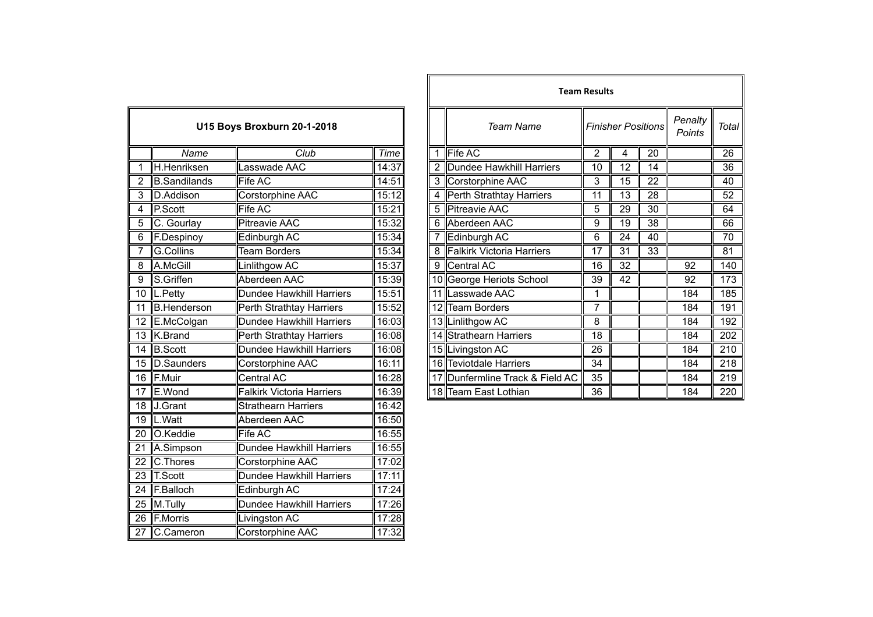|                 | U15 Boys Broxburn 20-1-2018 |                                  |       |  |  |  |  |
|-----------------|-----------------------------|----------------------------------|-------|--|--|--|--|
|                 | Name                        | Club                             | Time  |  |  |  |  |
| 1               | H.Henriksen                 | Lasswade AAC                     | 14:37 |  |  |  |  |
| $\overline{2}$  | <b>B.Sandilands</b>         | <b>Fife AC</b>                   | 14:51 |  |  |  |  |
| 3               | D.Addison                   | Corstorphine AAC                 | 15:12 |  |  |  |  |
| $\overline{4}$  | P.Scott                     | Fife AC                          | 15:21 |  |  |  |  |
| $\overline{5}$  | C. Gourlay                  | <b>Pitreavie AAC</b>             | 15:32 |  |  |  |  |
| 6               | F.Despinoy                  | Edinburgh AC                     | 15:34 |  |  |  |  |
| 7               | <b>G.Collins</b>            | <b>Team Borders</b>              | 15:34 |  |  |  |  |
| 8               | A.McGill                    | Linlithgow AC                    | 15:37 |  |  |  |  |
| $\overline{9}$  | S.Griffen                   | Aberdeen AAC                     | 15:39 |  |  |  |  |
| $\overline{1}0$ | $\ $ L.Petty                | Dundee Hawkhill Harriers         | 15:51 |  |  |  |  |
| $\overline{11}$ | <b>B.Henderson</b>          | Perth Strathtay Harriers         | 15:52 |  |  |  |  |
| 12              | E.McColgan                  | <b>Dundee Hawkhill Harriers</b>  | 16:03 |  |  |  |  |
| 13              | K.Brand                     | Perth Strathtay Harriers         | 16:08 |  |  |  |  |
| $\overline{14}$ | <b>B.Scott</b>              | <b>Dundee Hawkhill Harriers</b>  | 16:08 |  |  |  |  |
| 15              | D.Saunders                  | Corstorphine AAC                 | 16:11 |  |  |  |  |
| $\overline{16}$ | F.Muir                      | <b>Central AC</b>                | 16:28 |  |  |  |  |
| 17              | E.Wond                      | <b>Falkirk Victoria Harriers</b> | 16:39 |  |  |  |  |
| 18              | J.Grant                     | <b>Strathearn Harriers</b>       | 16:42 |  |  |  |  |
| 19              | L.Watt                      | Aberdeen AAC                     | 16:50 |  |  |  |  |
| $\overline{20}$ | O.Keddie                    | Fife AC                          | 16:55 |  |  |  |  |
| $\overline{21}$ | A.Simpson                   | <b>Dundee Hawkhill Harriers</b>  | 16:55 |  |  |  |  |
| $\overline{22}$ | C.Thores                    | Corstorphine AAC                 | 17:02 |  |  |  |  |
| 23              | T.Scott                     | Dundee Hawkhill Harriers         | 17:11 |  |  |  |  |
| $\overline{24}$ | F.Balloch                   | Edinburgh AC                     | 17:24 |  |  |  |  |
| $\overline{25}$ | M.Tully                     | <b>Dundee Hawkhill Harriers</b>  | 17:26 |  |  |  |  |
| $\overline{26}$ | <b>F.Morris</b>             | Livingston AC                    | 17:28 |  |  |  |  |
| $\overline{27}$ | C.Cameron                   | <b>Corstorphine AAC</b>          | 17:32 |  |  |  |  |

|                 |                     |                                    |       | <b>Team Results</b> |                                 |                |    |                           |                   |              |
|-----------------|---------------------|------------------------------------|-------|---------------------|---------------------------------|----------------|----|---------------------------|-------------------|--------------|
|                 |                     | <b>U15 Boys Broxburn 20-1-2018</b> |       |                     | <b>Team Name</b>                |                |    | <b>Finisher Positions</b> | Penalty<br>Points | <b>Total</b> |
|                 | Name                | Club                               | Time  |                     | Fife AC                         | $\overline{2}$ | 4  | 20                        |                   | 26           |
|                 | H.Henriksen         | asswade AAC                        | 14:37 |                     | Dundee Hawkhill Harriers        | 10             | 12 | 14                        |                   | 36           |
|                 | <b>B.Sandilands</b> | Fife AC                            | 14:51 |                     | 3 Corstorphine AAC              | 3              | 15 | 22                        |                   | 40           |
| 3               | D.Addison           | Corstorphine AAC                   | 15:12 |                     | 4 Perth Strathtay Harriers      | 11             | 13 | 28                        |                   | 52           |
| 4               | P.Scott             | Fife AC                            | 15:21 | 5                   | <b>Pitreavie AAC</b>            | 5              | 29 | 30                        |                   | 64           |
| 5               | C. Gourlay          | Pitreavie AAC                      | 15:32 |                     | 6 Aberdeen AAC                  | 9              | 19 | 38                        |                   | 66           |
| 6               | <b>F.Despinoy</b>   | Edinburgh AC                       | 15:34 |                     | Edinburgh AC                    | 6              | 24 | 40                        |                   | 70           |
|                 | G.Collins           | <b>Team Borders</b>                | 15:34 |                     | 8 Falkirk Victoria Harriers     | 17             | 31 | 33                        |                   | 81           |
| 8               | A.McGill            | inlithgow AC                       | 15:37 |                     | 9 Central AC                    | 16             | 32 |                           | 92                | 140          |
| 9               | S.Griffen           | Aberdeen AAC                       | 15:39 |                     | 10 George Heriots School        | 39             | 42 |                           | 92                | 173          |
|                 | 10  L.Petty         | Dundee Hawkhill Harriers           | 15:51 |                     | 11 Lasswade AAC                 |                |    |                           | 184               | 185          |
| $\overline{11}$ | <b>B.Henderson</b>  | Perth Strathtay Harriers           | 15:52 |                     | 12 Team Borders                 | 7              |    |                           | 184               | 191          |
|                 | 12 E.McColgan       | Dundee Hawkhill Harriers           | 16:03 |                     | 13 Linlithgow AC                | 8              |    |                           | 184               | 192          |
|                 | 13 K.Brand          | Perth Strathtay Harriers           | 16:08 |                     | 14 Strathearn Harriers          | 18             |    |                           | 184               | 202          |
|                 | 14 B.Scott          | Dundee Hawkhill Harriers           | 16:08 |                     | 15 Livingston AC                | 26             |    |                           | 184               | 210          |
|                 | 15 D.Saunders       | Corstorphine AAC                   | 16:11 |                     | 16 Teviotdale Harriers          | 34             |    |                           | 184               | 218          |
|                 | 16 F.Muir           | Central AC                         | 16:28 |                     | 17 Dunfermline Track & Field AC | 35             |    |                           | 184               | 219          |
|                 | $17$ E.Wond         | Falkirk Victoria Harriers          | 16:39 |                     | 18 Team East Lothian            | 36             |    |                           | 184               | 220          |
|                 |                     |                                    |       |                     |                                 |                |    |                           |                   |              |